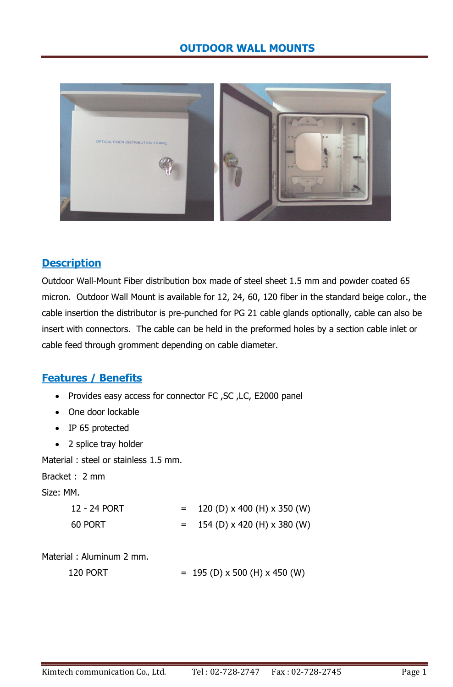

## **Description**

Outdoor Wall-Mount Fiber distribution box made of steel sheet 1.5 mm and powder coated 65 micron. Outdoor Wall Mount is available for 12, 24, 60, 120 fiber in the standard beige color., the cable insertion the distributor is pre-punched for PG 21 cable glands optionally, cable can also be insert with connectors. The cable can be held in the preformed holes by a section cable inlet or cable feed through gromment depending on cable diameter.

## **Features / Benefits**

- Provides easy access for connector FC ,SC ,LC, E2000 panel
- One door lockable
- IP 65 protected
- 2 splice tray holder

Material : steel or stainless 1.5 mm.

Bracket : 2 mm

Size: MM.

| 12 - 24 PORT | $=$ $-$ | 120 (D) x 400 (H) x 350 (W) |
|--------------|---------|-----------------------------|
| 60 PORT      |         | 154 (D) x 420 (H) x 380 (W) |

Material : Aluminum 2 mm.

120 PORT  $= 195 (D) \times 500 (H) \times 450 (W)$